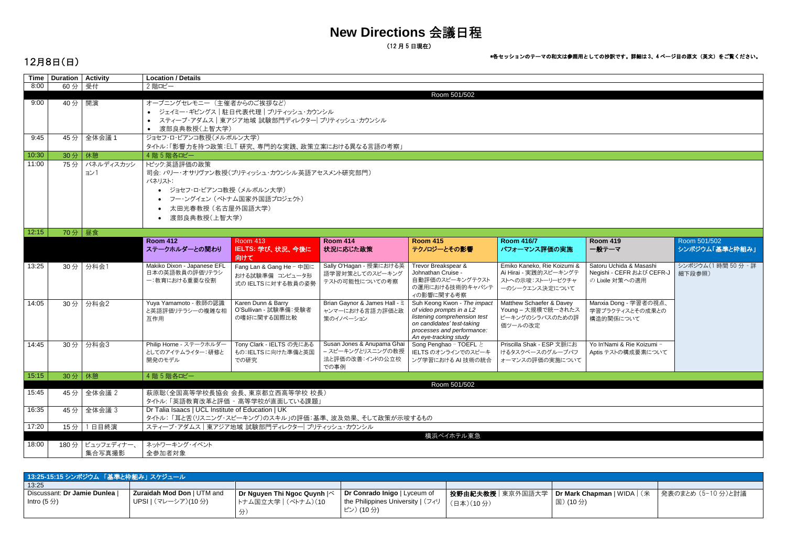# **New Directions** 会議日程

(<sup>12</sup> <sup>月</sup> <sup>5</sup> 日現在)

## 12月8日(日)

| <b>Time</b> | <b>Duration   Activity</b> |                 | <b>Location / Details</b>                         |                                                      |                                    |                                                         |                                                |                              |                     |  |  |  |
|-------------|----------------------------|-----------------|---------------------------------------------------|------------------------------------------------------|------------------------------------|---------------------------------------------------------|------------------------------------------------|------------------------------|---------------------|--|--|--|
| 8:00        | $60$ 分 受付                  |                 | 2 階ロビー                                            |                                                      |                                    |                                                         |                                                |                              |                     |  |  |  |
|             |                            |                 | Room 501/502                                      |                                                      |                                    |                                                         |                                                |                              |                     |  |  |  |
| 9:00        | 40分 開演                     |                 | オープニングセレモニー (主催者からのご挨拶など)                         |                                                      |                                    |                                                         |                                                |                              |                     |  |  |  |
|             |                            |                 | ● ジェイミー・ギビングス   駐日代表代理   ブリティッシュ・カウンシル            |                                                      |                                    |                                                         |                                                |                              |                     |  |  |  |
|             |                            |                 |                                                   | ● スティーブ・アダムス   東アジア地域 試験部門ディレクター  ブリティッシュ・カウンシル      |                                    |                                                         |                                                |                              |                     |  |  |  |
|             |                            |                 | 渡部良典教授(上智大学)                                      |                                                      |                                    |                                                         |                                                |                              |                     |  |  |  |
| 9:45        | 45分                        | 全体会議1           | ジョセフ・ロ・ビアンコ教授(メルボルン大学)                            |                                                      |                                    |                                                         |                                                |                              |                     |  |  |  |
|             |                            |                 |                                                   | タイトル:「影響力を持つ政策:ELT 研究、専門的な実践、政策立案における異なる言語の考察」       |                                    |                                                         |                                                |                              |                     |  |  |  |
| 10:30       | 30分                        | 休憩              | 4 階 5 階各ロビー                                       |                                                      |                                    |                                                         |                                                |                              |                     |  |  |  |
| 11:00       | 75分                        | パネルディスカッシ       | トピック:英語評価の政策                                      |                                                      |                                    |                                                         |                                                |                              |                     |  |  |  |
|             |                            | ヨン1             |                                                   | 司会: バリー・オサリヴァン教授(ブリティッシュ・カウンシル英語アセスメント研究部門)          |                                    |                                                         |                                                |                              |                     |  |  |  |
|             |                            |                 | パネリスト:                                            |                                                      |                                    |                                                         |                                                |                              |                     |  |  |  |
|             |                            |                 | ● ジョセフ·ロ·ビアンコ教授 (メルボルン大学)                         |                                                      |                                    |                                                         |                                                |                              |                     |  |  |  |
|             |                            |                 |                                                   | フー・ングイェン(ベトナム国家外国語プロジェクト)                            |                                    |                                                         |                                                |                              |                     |  |  |  |
|             |                            |                 |                                                   |                                                      |                                    |                                                         |                                                |                              |                     |  |  |  |
|             |                            |                 | 太田光春教授(名古屋外国語大学)                                  |                                                      |                                    |                                                         |                                                |                              |                     |  |  |  |
|             |                            |                 | 渡部良典教授(上智大学)<br>$\bullet$                         |                                                      |                                    |                                                         |                                                |                              |                     |  |  |  |
| 12:15       | 70分                        | 昼食              |                                                   |                                                      |                                    |                                                         |                                                |                              |                     |  |  |  |
|             |                            |                 | <b>Room 412</b>                                   | <b>Room 413</b>                                      | <b>Room 414</b>                    | <b>Room 415</b>                                         | <b>Room 416/7</b>                              | <b>Room 419</b>              | Room 501/502        |  |  |  |
|             |                            |                 | ステークホルダーとの関わり                                     | IELTS: 学び、状況、今後に                                     | 状況に応じた政策                           | テクノロジーとその影響                                             | パフォーマンス評価の実施                                   | 一般テーマ                        | シンポジウム「基準と枠組み」      |  |  |  |
|             |                            |                 |                                                   | 向けて                                                  |                                    |                                                         |                                                |                              |                     |  |  |  |
| 13:25       | 30分                        | 分科会1            | Makiko Dixon - Japanese EFL                       | Fang Lan & Gang He - 中国に                             | Sally O'Hagan - 授業における英            | Trevor Breakspear &                                     | Emiko Kaneko, Rie Koizumi &                    | Satoru Uchida & Masashi      | シンポジウム(1 時間 50 分 -詳 |  |  |  |
|             |                            |                 | 日本の英語教員の評価リテラシ                                    | おける試験準備 コンピュータ形                                      | 語学習対策としてのスピーキング                    | Johnathan Cruise -                                      | Ai Hirai - 実践的スピーキングテ                          | Negishi - CEFR および CEFR-J    | 細下段参照)              |  |  |  |
|             |                            |                 | 一:教育における重要な役割                                     | 式のIELTSに対する教員の姿勢                                     | テストの可能性についての考察                     | 自動評価のスピーキングテクスト                                         | ストへの示唆:ストーリーピクチャ                               | の Lixile 対策への適用              |                     |  |  |  |
|             |                            |                 |                                                   |                                                      |                                    | の運用における技術的キャパシテ                                         | 一のシークエンス決定について                                 |                              |                     |  |  |  |
|             |                            |                 |                                                   |                                                      |                                    | ィの影響に関する考察                                              |                                                |                              |                     |  |  |  |
| 14:05       | 30分                        | 分科会2            | Yuya Yamamoto - 教師の認識                             | Karen Dunn & Barry<br>O'Sullivan - 試験準備: 受験者         | Brian Gaynor & James Hall - $\geq$ | Suh Keong Kwon - The impact<br>of video prompts in a L2 | Matthew Schaefer & Davey<br>Young - 大規模で統一されたス | Manxia Dong - 学習者の視点、        |                     |  |  |  |
|             |                            |                 | と英語評価リテラシーの複雑な相<br>互作用                            | の嗜好に関する国際比較                                          | ャンマーにおける言語力評価と政<br>策のイノベーション       | listening comprehension test                            | ピーキングのシラバスのための評                                | 学習プラクティスとその成果との<br>構造的関係について |                     |  |  |  |
|             |                            |                 |                                                   |                                                      |                                    | on candidates' test-taking                              | 価ツールの改定                                        |                              |                     |  |  |  |
|             |                            |                 |                                                   |                                                      |                                    | processes and performance:                              |                                                |                              |                     |  |  |  |
| 14:45       |                            |                 |                                                   | Tony Clark - IELTS の先にある                             | Susan Jones & Anupama Ghai         | An eye-tracking study<br>Song Penghao - TOEFL と         | Priscilla Shak - ESP 文脈にお                      | Yo In'Nami & Rie Koizumi -   |                     |  |  |  |
|             | 30分                        | 分科会3            | Philip Horne - ステークホルダー<br>としてのアイテムライター:研修と       | もの:IELTSに向けた準備と英国                                    | - スピーキングとリスニングの教授                  | IELTS のオンラインでのスピーキ                                      | けるタスクベースのグループパフ                                | Aptis テストの構成要素について           |                     |  |  |  |
|             |                            |                 | 開発のモデル                                            | での研究                                                 | 法と評価の改善:インドの公立校                    | ング学習における AI 技術の統合                                       | オーマンスの評価の実施について                                |                              |                     |  |  |  |
|             |                            |                 |                                                   |                                                      | での事例                               |                                                         |                                                |                              |                     |  |  |  |
| 15:15       | 30分                        | │ 休憩            | 4 階 5 階各ロビー                                       |                                                      |                                    |                                                         |                                                |                              |                     |  |  |  |
|             |                            |                 |                                                   |                                                      |                                    | Room 501/502                                            |                                                |                              |                     |  |  |  |
| 15:45       |                            | 45分 全体会議 2      |                                                   | 萩原聡(全国高等学校長協会 会長、東京都立西高等学校 校長)                       |                                    |                                                         |                                                |                              |                     |  |  |  |
|             |                            |                 |                                                   | タイトル: 「英語教育改革と評価 - 高等学校が直面している課題」                    |                                    |                                                         |                                                |                              |                     |  |  |  |
| 16:35       | 45分                        | 全体会議 3          | Dr Talia Isaacs   UCL Institute of Education   UK |                                                      |                                    |                                                         |                                                |                              |                     |  |  |  |
|             |                            |                 |                                                   | タイトル:「耳と舌(リスニング・スピーキング)のスキル」の評価:基準、波及効果、そして政策が示唆するもの |                                    |                                                         |                                                |                              |                     |  |  |  |
| 17:20       | 15分                        | 1日目終演           |                                                   | スティーブ・アダムス 東アジア地域 試験部門ディレクター ブリティッシュ・カウンシル           |                                    |                                                         |                                                |                              |                     |  |  |  |
|             |                            |                 |                                                   |                                                      |                                    | 横浜ベイホテル東急                                               |                                                |                              |                     |  |  |  |
| 18:00       |                            | 180分 ビュッフェディナー、 | ネットワーキング・イベント                                     |                                                      |                                    |                                                         |                                                |                              |                     |  |  |  |
|             |                            | 集合写真撮影          | 全参加者対象                                            |                                                      |                                    |                                                         |                                                |                              |                     |  |  |  |
|             |                            |                 |                                                   |                                                      |                                    |                                                         |                                                |                              |                     |  |  |  |

| 13:25-15:15 シンポジウム 「基準と枠組み」 スケジュール |                                   |                                           |                                                         |                                                                |         |  |  |  |  |  |
|------------------------------------|-----------------------------------|-------------------------------------------|---------------------------------------------------------|----------------------------------------------------------------|---------|--|--|--|--|--|
| 13:25                              |                                   |                                           |                                                         |                                                                |         |  |  |  |  |  |
| Discussant: Dr Jamie Dunlea        | <b>Zuraidah Mod Don   UTM and</b> | Dr Nguyen Thi Ngoc Quynh $ \tilde{\sim} $ | <b>Dr Conrado Inigo</b>   Lyceum of                     | │投野由紀夫教授│東京外国語大学│Dr Mark Chapman   WIDA│(米 │発表のまとめ (5-10 分)と討議 |         |  |  |  |  |  |
| Intro (5 分)                        | UPSI   (マレーシア)(10分)               | トナム国立大学   (ベトナム)(10                       | the Philippines University $ $ $($ $\neg$ $\neg$ $\vee$ | (日本)(10分)                                                      | 国)(10分) |  |  |  |  |  |
|                                    |                                   |                                           | ピン) (10分)                                               |                                                                |         |  |  |  |  |  |

#### \*各セッションのテーマの和文は参照用としての抄訳です。詳細は 3、4 ページ目の原文(英文)をご覧ください。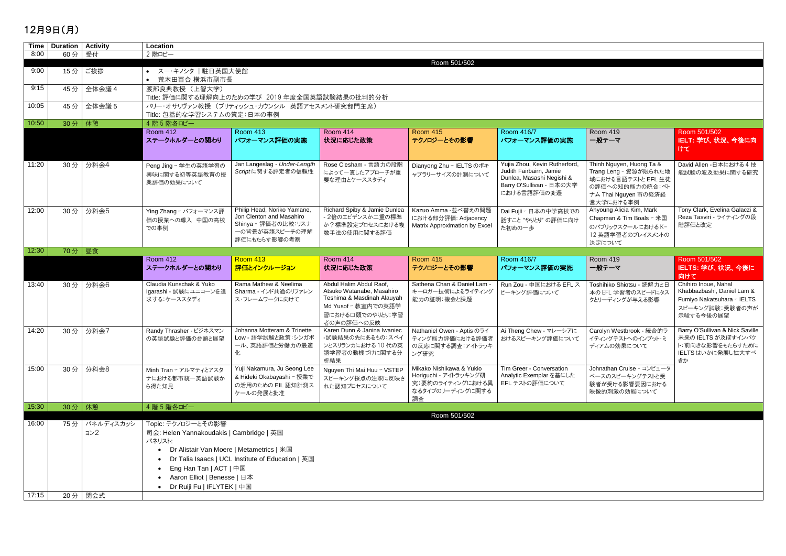## 12月9日(月)

|       | Time   Duration   Activity |            | Location                                    |                                                   |                                        |                               |                                   |                           |                                        |  |  |  |
|-------|----------------------------|------------|---------------------------------------------|---------------------------------------------------|----------------------------------------|-------------------------------|-----------------------------------|---------------------------|----------------------------------------|--|--|--|
| 8:00  | 60分 受付                     |            | 2 階ロビー                                      |                                                   |                                        |                               |                                   |                           |                                        |  |  |  |
|       |                            |            | Room 501/502                                |                                                   |                                        |                               |                                   |                           |                                        |  |  |  |
| 9:00  | 15分                        | ご挨拶        | ● スー・キノシタ  駐日英国大使館                          |                                                   |                                        |                               |                                   |                           |                                        |  |  |  |
|       |                            |            |                                             | • 荒木田百合 横浜市副市長                                    |                                        |                               |                                   |                           |                                        |  |  |  |
| 9:15  | 45分                        | 全体会議 4     | 渡部良典教授 (上智大学)                               |                                                   |                                        |                               |                                   |                           |                                        |  |  |  |
|       |                            |            |                                             | Title: 評価に関する理解向上のための学び 2019 年度全国英語試験結果の批判的分析     |                                        |                               |                                   |                           |                                        |  |  |  |
| 10:05 | 45分                        | 全体会議 5     | バリー・オサリヴァン教授 (ブリティッシュ・カウンシル 英語アセスメント研究部門主席) |                                                   |                                        |                               |                                   |                           |                                        |  |  |  |
|       |                            |            | Title: 包括的な学習システムの策定:日本の事例                  |                                                   |                                        |                               |                                   |                           |                                        |  |  |  |
| 10:50 | 30分 休憩                     |            | 4 階 5 階各ロビー                                 |                                                   |                                        |                               |                                   |                           |                                        |  |  |  |
|       |                            |            | <b>Room 412</b>                             | <b>Room 413</b>                                   | <b>Room 414</b>                        | <b>Room 415</b>               | Room 416/7                        | <b>Room 419</b>           | Room 501/502                           |  |  |  |
|       |                            |            | ステークホルダーとの関わり                               | パフォーマンス評価の実施                                      | 状況に応じた政策                               | テクノロジーとその影響                   | パフォーマンス評価の実施                      | 一般テーマ                     | IELT: 学び、状況、今後に向                       |  |  |  |
|       |                            |            |                                             |                                                   |                                        |                               |                                   |                           | けて                                     |  |  |  |
|       |                            |            |                                             |                                                   |                                        |                               |                                   |                           |                                        |  |  |  |
| 11:20 | 30分                        | 分科会4       | Peng Jing - 学生の英語学習の                        | Jan Langeslag - Under-Length                      | Rose Clesham - 言語力の段階                  | Dianyong Zhu - IELTS のボキ      | Yujia Zhou, Kevin Rutherford,     | Thinh Nguyen, Huong Ta &  | David Allen -日本における 4技                 |  |  |  |
|       |                            |            |                                             | Scriptに関する評定者の信頼性                                 | によって一貫したアプローチが重                        |                               | Judith Fairbairn, Jamie           | Trang Leng - 資源が限られた地     | 能試験の波及効果に関する研究                         |  |  |  |
|       |                            |            | 興味に関する初等英語教育の授<br>業評価の効果について                |                                                   | 要な理由とケーススタディ                           | ャブラリーサイズの計測について               | Dunlea, Masashi Negishi &         | 域における言語テストと EFL 生徒        |                                        |  |  |  |
|       |                            |            |                                             |                                                   |                                        |                               | Barry O'Sullivan - 日本の大学          | の評価への知的能力の統合:ベト           |                                        |  |  |  |
|       |                            |            |                                             |                                                   |                                        |                               | における言語評価の変遷                       | ナム Thai Nguyen 市の経済経      |                                        |  |  |  |
|       |                            |            |                                             |                                                   |                                        |                               |                                   | 営大学における事例                 |                                        |  |  |  |
| 12:00 | 30分                        | 分科会5       | Ying Zhang - パフォーマンス評                       | Philip Head, Noriko Yamane,                       | Richard Spiby & Jamie Dunlea           | Kazuo Amma -並べ替えの問題           | Dai Fujii - 日本の中学高校での             | Ahyoung Alicia Kim, Mark  | Tony Clark, Evelina Galaczi &          |  |  |  |
|       |                            |            | 価の授業への導入 中国の高校                              | Jon Clenton and Masahiro                          | - 2倍のエビデンスか二重の標準                       | における部分評価: Adjacency           | 話すこと "やりとり"の評価に向け                 | Chapman & Tim Boals - 米国  | Reza Tasviri - ライティングの段                |  |  |  |
|       |                            |            | での事例                                        | Shinya - 評価者の比較:リスナ                               | か?標準設定プロセスにおける複                        | Matrix Approximation by Excel | た初めの一歩                            | のパブリックスクールにおけるK-          | 階評価と改定                                 |  |  |  |
|       |                            |            |                                             | 一の背景が英語スピーチの理解                                    | 数手法の使用に関する評価                           |                               |                                   | 12 英語学習者のプレイスメントの         |                                        |  |  |  |
|       |                            |            |                                             | 評価にもたらす影響の考察                                      |                                        |                               |                                   | 決定について                    |                                        |  |  |  |
| 12:30 |                            | $702$   昼食 |                                             |                                                   |                                        |                               |                                   |                           |                                        |  |  |  |
|       |                            |            | <b>Room 412</b>                             | Room 413                                          | <b>Room 414</b>                        | <b>Room 415</b>               | Room 416/7                        | Room 419                  | Room 501/502                           |  |  |  |
|       |                            |            | ステークホルダーとの関わり                               | 評価とインクルージョン                                       | 状況に応じた政策                               | テクノロジーとその影響                   | パフォーマンス評価の実施                      | 一般テーマ                     | IELTS: 学び、状況、今後に<br>向けて                |  |  |  |
| 13:40 | 30分                        | 分科会6       | Claudia Kunschak & Yuko                     | Rama Mathew & Neelima                             | Abdul Halim Abdul Raof,                | Sathena Chan & Daniel Lam -   | Run Zou - 中国における EFL ス            | Toshihiko Shiotsu - 読解力と日 | Chihiro Inoue, Nahal                   |  |  |  |
|       |                            |            | Igarashi - 試験にユニコーンを追                       | Sharma - インド共通のリファレン                              | Atsuko Watanabe, Masahiro              | キーロガー技術によるライティング              | ピーキング評価について                       | 本の EFL 学習者のスピードにタス        | Khabbazbashi, Daniel Lam &             |  |  |  |
|       |                            |            | 求する:ケーススタディ                                 | ス・フレームワークに向けて                                     | Teshima & Masdinah Alauyah             | 能力の証明:機会と課題                   |                                   | クとリーディングが与える影響            | Fumiyo Nakatsuhara - IELTS             |  |  |  |
|       |                            |            |                                             |                                                   | Md Yusof - 教室内での英語学                    |                               |                                   |                           | スピーキング試験:受験者の声が                        |  |  |  |
|       |                            |            |                                             |                                                   | 習における口頭でのやりとり;学習                       |                               |                                   |                           | 示唆する今後の展望                              |  |  |  |
|       |                            |            |                                             |                                                   | 者の声の評価への反映                             |                               |                                   |                           |                                        |  |  |  |
| 14:20 | 30分                        | 分科会7       | Randy Thrasher - ビジネスマン                     | Johanna Motteram & Trinette                       | Karen Dunn & Janina Iwaniec            | Nathaniel Owen - Aptis のライ    | Ai Theng Chew - マレーシアに            | Carolyn Westbrook - 統合的ラ  | Barry O'Sullivan & Nick Saville        |  |  |  |
|       |                            |            | の英語試験と評価の台頭と展望                              | Low - 語学試験と政策:シンガポ<br>ール、英語評価と労働力の最適              | -試験結果の先にあるもの:スペイ<br>ンとスリランカにおける 10 代の英 |                               | ティング能力評価における評価者   おけるスピーキング評価について | イティングテストへのインプット・ミ         | 未来の IELTS が及ぼすインパク<br>ト:前向きな影響をもたらすために |  |  |  |
|       |                            |            |                                             | 化                                                 | 語学習者の動機づけに関する分                         | の反応に関する調査:アイトラッキ              |                                   | ディアムの効果について               | IELTS はいかに発展し拡大すべ                      |  |  |  |
|       |                            |            |                                             |                                                   | 析結果                                    | ング研究                          |                                   |                           | きか                                     |  |  |  |
| 15:00 |                            | 30分   分科会8 | Minh Tran - アルマティとアスタ                       | Yuji Nakamura, Ju Seong Lee                       | Nguyen Thi Mai Huu - VSTEP             | Mikako Nishikawa & Yukio      | Tim Greer - Conversation          | Johnathan Cruise - コンピュータ |                                        |  |  |  |
|       |                            |            |                                             | & Hideki Okabayashi - 授業で                         |                                        | Horiguchi - アイトラッキング研         | Analytic Exemplar を基にした           | ベースのスピーキングテストと受           |                                        |  |  |  |
|       |                            |            | ナにおける都市統一英語試験か                              | の活用のための EIL 認知計測ス                                 | スピーキング採点の注釈に反映さ<br>れた認知プロセスについて        | 究:要約のライティングにおける異              | EFLテストの評価について                     | 験者が受ける影響要因における            |                                        |  |  |  |
|       |                            |            | ら得た知見                                       | ケールの発展と批准                                         |                                        | なるタイプのリーディングに関する              |                                   | 映像的刺激の効能について              |                                        |  |  |  |
|       |                            |            |                                             |                                                   |                                        | 調査                            |                                   |                           |                                        |  |  |  |
| 15:30 | 30分 休憩                     |            | 4階5階各ロビー                                    |                                                   |                                        |                               |                                   |                           |                                        |  |  |  |
|       |                            |            |                                             |                                                   |                                        | Room 501/502                  |                                   |                           |                                        |  |  |  |
| 16:00 | 75分                        | パネルディスカッシ  | Topic: テクノロジーとその影響                          |                                                   |                                        |                               |                                   |                           |                                        |  |  |  |
|       |                            | ョン2        | 司会: Helen Yannakoudakis   Cambridge   英国    |                                                   |                                        |                               |                                   |                           |                                        |  |  |  |
|       |                            |            | パネリスト:                                      |                                                   |                                        |                               |                                   |                           |                                        |  |  |  |
|       |                            |            |                                             | Dr Alistair Van Moere   Metametrics   米国          |                                        |                               |                                   |                           |                                        |  |  |  |
|       |                            |            |                                             | Dr Talia Isaacs   UCL Institute of Education   英国 |                                        |                               |                                   |                           |                                        |  |  |  |
|       |                            |            | Eng Han Tan   ACT   中国                      |                                                   |                                        |                               |                                   |                           |                                        |  |  |  |
|       |                            |            | Aaron Elliot   Benesse   日本                 |                                                   |                                        |                               |                                   |                           |                                        |  |  |  |
|       |                            |            |                                             |                                                   |                                        |                               |                                   |                           |                                        |  |  |  |
|       |                            |            | Dr Ruiji Fu   IFLYTEK   中国                  |                                                   |                                        |                               |                                   |                           |                                        |  |  |  |
| 17:15 |                            | 20分   閉会式  |                                             |                                                   |                                        |                               |                                   |                           |                                        |  |  |  |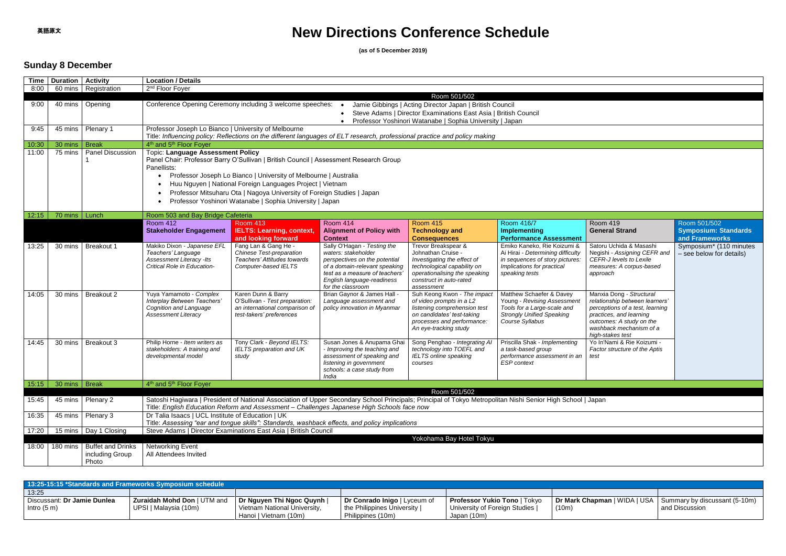# **New Directions Conference Schedule**

**(as of 5 December 2019)**

### **Sunday 8 December**

| <b>Time</b> | <b>Duration   Activity</b> |                                      | <b>Location / Details</b>                                                    |                                                                                                                       |                                                                                                                                                             |                                                            |                                                                      |                                                             |                             |  |  |  |  |
|-------------|----------------------------|--------------------------------------|------------------------------------------------------------------------------|-----------------------------------------------------------------------------------------------------------------------|-------------------------------------------------------------------------------------------------------------------------------------------------------------|------------------------------------------------------------|----------------------------------------------------------------------|-------------------------------------------------------------|-----------------------------|--|--|--|--|
| 8:00        |                            | 60 mins   Registration               | 2 <sup>nd</sup> Floor Foyer                                                  |                                                                                                                       |                                                                                                                                                             |                                                            |                                                                      |                                                             |                             |  |  |  |  |
|             |                            |                                      |                                                                              | Room 501/502                                                                                                          |                                                                                                                                                             |                                                            |                                                                      |                                                             |                             |  |  |  |  |
| 9:00        |                            | 40 mins   Opening                    |                                                                              | Conference Opening Ceremony including 3 welcome speeches:<br>Jamie Gibbings   Acting Director Japan   British Council |                                                                                                                                                             |                                                            |                                                                      |                                                             |                             |  |  |  |  |
|             |                            |                                      | Steve Adams   Director Examinations East Asia   British Council<br>$\bullet$ |                                                                                                                       |                                                                                                                                                             |                                                            |                                                                      |                                                             |                             |  |  |  |  |
|             |                            |                                      |                                                                              | Professor Yoshinori Watanabe   Sophia University   Japan<br>$\bullet$                                                 |                                                                                                                                                             |                                                            |                                                                      |                                                             |                             |  |  |  |  |
| 9:45        |                            | 45 mins   Plenary 1                  | Professor Joseph Lo Bianco   University of Melbourne                         |                                                                                                                       | Title: Influencing policy: Reflections on the different languages of ELT research, professional practice and policy making                                  |                                                            |                                                                      |                                                             |                             |  |  |  |  |
| 10:30       | 30 mins                    | <b>Break</b>                         | 4 <sup>th</sup> and 5 <sup>th</sup> Floor Foyer                              |                                                                                                                       |                                                                                                                                                             |                                                            |                                                                      |                                                             |                             |  |  |  |  |
| 11:00       | 75 mins                    | Panel Discussion                     | <b>Topic: Language Assessment Policy</b>                                     |                                                                                                                       |                                                                                                                                                             |                                                            |                                                                      |                                                             |                             |  |  |  |  |
|             |                            |                                      |                                                                              | Panel Chair: Professor Barry O'Sullivan   British Council   Assessment Research Group                                 |                                                                                                                                                             |                                                            |                                                                      |                                                             |                             |  |  |  |  |
|             |                            |                                      | Panellists:                                                                  |                                                                                                                       |                                                                                                                                                             |                                                            |                                                                      |                                                             |                             |  |  |  |  |
|             |                            |                                      |                                                                              | Professor Joseph Lo Bianco   University of Melbourne   Australia                                                      |                                                                                                                                                             |                                                            |                                                                      |                                                             |                             |  |  |  |  |
|             |                            |                                      |                                                                              | Huu Nguyen   National Foreign Languages Project   Vietnam                                                             |                                                                                                                                                             |                                                            |                                                                      |                                                             |                             |  |  |  |  |
|             |                            |                                      |                                                                              | Professor Mitsuharu Ota   Nagoya University of Foreign Studies   Japan                                                |                                                                                                                                                             |                                                            |                                                                      |                                                             |                             |  |  |  |  |
|             |                            |                                      |                                                                              | Professor Yoshinori Watanabe   Sophia University   Japan                                                              |                                                                                                                                                             |                                                            |                                                                      |                                                             |                             |  |  |  |  |
| 12:15       | 70 mins   Lunch            |                                      | Room 503 and Bay Bridge Cafeteria                                            |                                                                                                                       |                                                                                                                                                             |                                                            |                                                                      |                                                             |                             |  |  |  |  |
|             |                            |                                      | <b>Room 412</b>                                                              | <b>Room 413</b>                                                                                                       | Room 414                                                                                                                                                    | <b>Room 415</b>                                            | Room 416/7                                                           | <b>Room 419</b>                                             | Room 501/502                |  |  |  |  |
|             |                            |                                      | <b>Stakeholder Engagement</b>                                                | <b>IELTS: Learning, context,</b>                                                                                      | <b>Alignment of Policy with</b>                                                                                                                             | <b>Technology and</b>                                      | <b>Implementing</b>                                                  | <b>General Strand</b>                                       | <b>Symposium: Standards</b> |  |  |  |  |
|             |                            |                                      |                                                                              | and looking forward                                                                                                   | <b>Context</b>                                                                                                                                              | <b>Consequences</b>                                        | <b>Performance Assessment</b>                                        |                                                             | and Frameworks              |  |  |  |  |
| 13:25       | 30 mins                    | <b>Breakout 1</b>                    | Makiko Dixon - Japanese EFL<br>Teachers' Language                            | Fang Lan & Gang He -                                                                                                  | Sally O'Hagan - Testing the<br>waters: stakeholder                                                                                                          | Trevor Breakspear &<br>Johnathan Cruise -                  | Emiko Kaneko, Rie Koizumi &                                          | Satoru Uchida & Masashi                                     | Symposium* (110 minutes     |  |  |  |  |
|             |                            |                                      | <b>Assessment Literacy -Its</b>                                              | <b>Chinese Test-preparation</b><br>Teachers' Attitudes towards                                                        | perspectives on the potential                                                                                                                               | Investigating the effect of                                | Ai Hirai - Determining difficulty<br>in sequences of story pictures: | Negishi - Assigning CEFR and<br>CEFR-J levels to Lexile     | - see below for details)    |  |  |  |  |
|             |                            |                                      | Critical Role in Education-                                                  | Computer-based IELTS                                                                                                  | of a domain-relevant speaking                                                                                                                               | technological capability on                                | Implications for practical                                           | measures: A corpus-based                                    |                             |  |  |  |  |
|             |                            |                                      |                                                                              |                                                                                                                       | test as a measure of teachers'                                                                                                                              | operationalising the speaking                              | speaking tests                                                       | approach                                                    |                             |  |  |  |  |
|             |                            |                                      |                                                                              |                                                                                                                       | English language-readiness<br>for the classroom                                                                                                             | construct in auto-rated<br>assessment                      |                                                                      |                                                             |                             |  |  |  |  |
| 14:05       | 30 mins                    | Breakout 2                           | Yuya Yamamoto - Complex                                                      | Karen Dunn & Barry                                                                                                    | Brian Gaynor & James Hall                                                                                                                                   | Suh Keong Kwon - The impact                                | Matthew Schaefer & Davey                                             | Manxia Dong - Structural                                    |                             |  |  |  |  |
|             |                            |                                      | Interplay Between Teachers'                                                  | O'Sullivan - Test preparation:                                                                                        | Language assessment and                                                                                                                                     | of video prompts in a L2                                   | Young - Revising Assessment                                          | relationship between learners'                              |                             |  |  |  |  |
|             |                            |                                      | Cognition and Language                                                       | an international comparison of                                                                                        | policy innovation in Myanmai                                                                                                                                | listening comprehension test                               | Tools for a Large-scale and<br><b>Strongly Unified Speaking</b>      | perceptions of a test, learning                             |                             |  |  |  |  |
|             |                            |                                      | <b>Assessment Literacy</b>                                                   | test-takers' preferences                                                                                              |                                                                                                                                                             | on candidates' test-taking<br>processes and performance:   | Course Syllabus                                                      | practices, and learning<br>outcomes: A study on the         |                             |  |  |  |  |
|             |                            |                                      |                                                                              |                                                                                                                       |                                                                                                                                                             | An eye-tracking study                                      |                                                                      | washback mechanism of a                                     |                             |  |  |  |  |
|             |                            |                                      |                                                                              |                                                                                                                       |                                                                                                                                                             |                                                            |                                                                      | high-stakes test                                            |                             |  |  |  |  |
| 14:45       | 30 mins                    | Breakout 3                           | Philip Horne - Item writers as<br>stakeholders: A training and               | Tony Clark - Beyond IELTS:<br><b>IELTS</b> preparation and UK                                                         | Susan Jones & Anupama Ghai<br>- Improving the teaching and                                                                                                  | Song Penghao - Integrating Al<br>technology into TOEFL and | Priscilla Shak - Implementing<br>a task-based group                  | Yo In'Nami & Rie Koizumi -<br>Factor structure of the Aptis |                             |  |  |  |  |
|             |                            |                                      | developmental model                                                          | study                                                                                                                 | assessment of speaking and                                                                                                                                  | <b>IELTS online speaking</b>                               | performance assessment in an                                         | test                                                        |                             |  |  |  |  |
|             |                            |                                      |                                                                              |                                                                                                                       | listening in government                                                                                                                                     | courses                                                    | <b>ESP</b> context                                                   |                                                             |                             |  |  |  |  |
|             |                            |                                      |                                                                              |                                                                                                                       | schools: a case study from                                                                                                                                  |                                                            |                                                                      |                                                             |                             |  |  |  |  |
| 15:15       | 30 mins   Break            |                                      | 4 <sup>th</sup> and 5 <sup>th</sup> Floor Foyer                              |                                                                                                                       | India                                                                                                                                                       |                                                            |                                                                      |                                                             |                             |  |  |  |  |
|             |                            |                                      |                                                                              |                                                                                                                       |                                                                                                                                                             | Room 501/502                                               |                                                                      |                                                             |                             |  |  |  |  |
| 15:45       |                            | 45 mins   Plenary 2                  |                                                                              |                                                                                                                       | Satoshi Hagiwara   President of National Association of Upper Secondary School Principals; Principal of Tokyo Metropolitan Nishi Senior High School   Japan |                                                            |                                                                      |                                                             |                             |  |  |  |  |
|             |                            |                                      |                                                                              |                                                                                                                       | Title: English Education Reform and Assessment - Challenges Japanese High Schools face now                                                                  |                                                            |                                                                      |                                                             |                             |  |  |  |  |
| 16:35       |                            | 45 mins   Plenary 3                  | Dr Talia Isaacs   UCL Institute of Education   UK                            |                                                                                                                       |                                                                                                                                                             |                                                            |                                                                      |                                                             |                             |  |  |  |  |
|             |                            |                                      |                                                                              |                                                                                                                       | Title: Assessing "ear and tongue skills": Standards, washback effects, and policy implications                                                              |                                                            |                                                                      |                                                             |                             |  |  |  |  |
| 17:20       |                            | 15 mins   Day 1 Closing              |                                                                              | Steve Adams   Director Examinations East Asia   British Council                                                       |                                                                                                                                                             | Yokohama Bay Hotel Tokyu                                   |                                                                      |                                                             |                             |  |  |  |  |
|             |                            | 18:00   180 mins   Buffet and Drinks | <b>Networking Event</b>                                                      |                                                                                                                       |                                                                                                                                                             |                                                            |                                                                      |                                                             |                             |  |  |  |  |
|             |                            | including Group                      | All Attendees Invited                                                        |                                                                                                                       |                                                                                                                                                             |                                                            |                                                                      |                                                             |                             |  |  |  |  |
|             |                            | Photo                                |                                                                              |                                                                                                                       |                                                                                                                                                             |                                                            |                                                                      |                                                             |                             |  |  |  |  |
|             |                            |                                      |                                                                              |                                                                                                                       |                                                                                                                                                             |                                                            |                                                                      |                                                             |                             |  |  |  |  |

| <b>13:25-15:15 *Standards and Frameworks Symposium schedule</b> |                             |                              |                              |                                     |                                                                     |                |  |  |  |  |
|-----------------------------------------------------------------|-----------------------------|------------------------------|------------------------------|-------------------------------------|---------------------------------------------------------------------|----------------|--|--|--|--|
| 13:25                                                           |                             |                              |                              |                                     |                                                                     |                |  |  |  |  |
| Discussant: Dr Jamie Dunlea                                     | Zuraidah Mohd Don   UTM and | Dr Nguyen Thi Ngoc Quynh     | Dr Conrado Inigo   Lyceum of | <b>Professor Yukio Tono</b>   Tokyo | <b>Dr Mark Chapman</b>   WIDA   USA   Summary by discussant (5-10m) |                |  |  |  |  |
| Intro $(5 \text{ m})$                                           | UPSI   Malaysia (10m)       | Vietnam National University, | the Philippines University   | University of Foreign Studies       | (10m)                                                               | and Discussion |  |  |  |  |
|                                                                 |                             | Hanoi   Vietnam (10m)        | Philippines (10m)            | Japan (10m)                         |                                                                     |                |  |  |  |  |